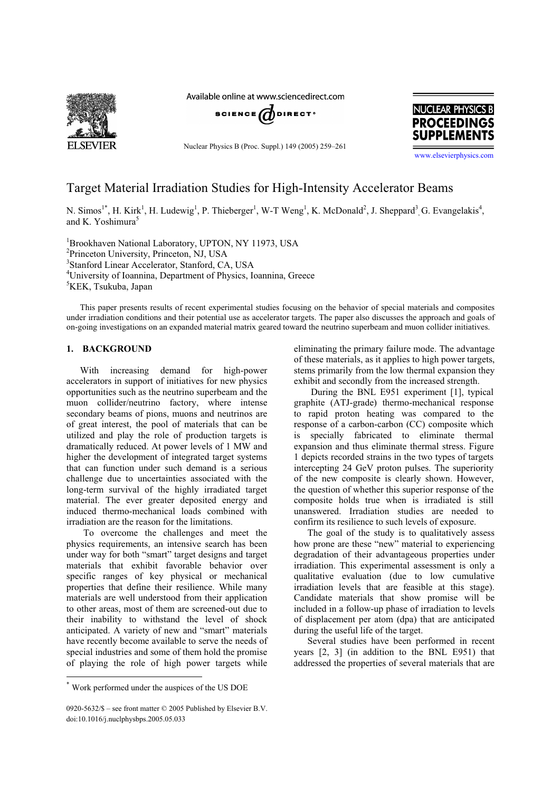

Available online at www.sciencedirect.com



Nuclear Physics B (Proc. Suppl.) 149 (2005) 259–261



[www.elsevierphysics.com](http://www.elsevierphysics.com)

# Target Material Irradiation Studies for High-Intensity Accelerator Beams

N. Simos<sup>1\*</sup>, H. Kirk<sup>1</sup>, H. Ludewig<sup>1</sup>, P. Thieberger<sup>1</sup>, W-T Weng<sup>1</sup>, K. McDonald<sup>2</sup>, J. Sheppard<sup>3</sup>, G. Evangelakis<sup>4</sup>, and K. Yoshimura<sup>5</sup>

<sup>1</sup>Brookhaven National Laboratory, UPTON, NY 11973, USA <sup>2</sup>Princeton University, Princeton, NJ, USA 3 Stanford Linear Accelerator, Stanford, CA, USA 4 University of Ioannina, Department of Physics, Ioannina, Greece <sup>5</sup>KEK, Tsukuba, Japan

This paper presents results of recent experimental studies focusing on the behavior of special materials and composites under irradiation conditions and their potential use as accelerator targets. The paper also discusses the approach and goals of on-going investigations on an expanded material matrix geared toward the neutrino superbeam and muon collider initiatives.

### **1. BACKGROUND**

With increasing demand for high-power accelerators in support of initiatives for new physics opportunities such as the neutrino superbeam and the muon collider/neutrino factory, where intense secondary beams of pions, muons and neutrinos are of great interest, the pool of materials that can be utilized and play the role of production targets is dramatically reduced. At power levels of 1 MW and higher the development of integrated target systems that can function under such demand is a serious challenge due to uncertainties associated with the long-term survival of the highly irradiated target material. The ever greater deposited energy and induced thermo-mechanical loads combined with irradiation are the reason for the limitations.

To overcome the challenges and meet the physics requirements, an intensive search has been under way for both "smart" target designs and target materials that exhibit favorable behavior over specific ranges of key physical or mechanical properties that define their resilience. While many materials are well understood from their application to other areas, most of them are screened-out due to their inability to withstand the level of shock anticipated. A variety of new and "smart" materials have recently become available to serve the needs of special industries and some of them hold the promise of playing the role of high power targets while

eliminating the primary failure mode. The advantage of these materials, as it applies to high power targets, stems primarily from the low thermal expansion they exhibit and secondly from the increased strength.

During the BNL E951 experiment [1], typical graphite (ATJ-grade) thermo-mechanical response to rapid proton heating was compared to the response of a carbon-carbon (CC) composite which is specially fabricated to eliminate thermal expansion and thus eliminate thermal stress. Figure 1 depicts recorded strains in the two types of targets intercepting 24 GeV proton pulses. The superiority of the new composite is clearly shown. However, the question of whether this superior response of the composite holds true when is irradiated is still unanswered. Irradiation studies are needed to confirm its resilience to such levels of exposure.

The goal of the study is to qualitatively assess how prone are these "new" material to experiencing degradation of their advantageous properties under irradiation. This experimental assessment is only a qualitative evaluation (due to low cumulative irradiation levels that are feasible at this stage). Candidate materials that show promise will be included in a follow-up phase of irradiation to levels of displacement per atom (dpa) that are anticipated during the useful life of the target.

Several studies have been performed in recent years [2, 3] (in addition to the BNL E951) that addressed the properties of several materials that are

<sup>\*</sup> Work performed under the auspices of the US DOE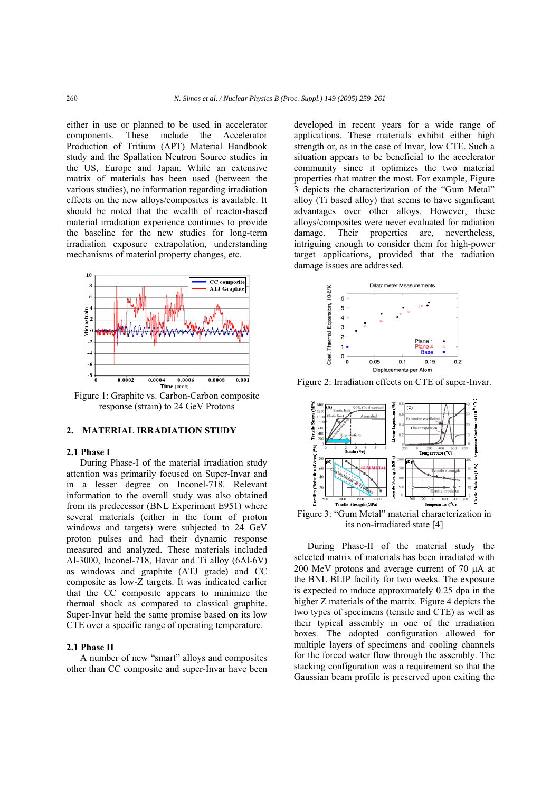either in use or planned to be used in accelerator components. These include the Accelerator Production of Tritium (APT) Material Handbook study and the Spallation Neutron Source studies in the US, Europe and Japan. While an extensive matrix of materials has been used (between the various studies), no information regarding irradiation effects on the new alloys/composites is available. It should be noted that the wealth of reactor-based material irradiation experience continues to provide the baseline for the new studies for long-term irradiation exposure extrapolation, understanding mechanisms of material property changes, etc.



Figure 1: Graphite vs. Carbon-Carbon composite response (strain) to 24 GeV Protons

#### **2. MATERIAL IRRADIATION STUDY**

#### **2.1 Phase I**

During Phase-I of the material irradiation study attention was primarily focused on Super-Invar and in a lesser degree on Inconel-718. Relevant information to the overall study was also obtained from its predecessor (BNL Experiment E951) where several materials (either in the form of proton windows and targets) were subjected to 24 GeV proton pulses and had their dynamic response measured and analyzed. These materials included Al-3000, Inconel-718, Havar and Ti alloy (6Al-6V) as windows and graphite (ATJ grade) and CC composite as low-Z targets. It was indicated earlier that the CC composite appears to minimize the thermal shock as compared to classical graphite. Super-Invar held the same promise based on its low CTE over a specific range of operating temperature.

#### **2.1 Phase II**

A number of new "smart" alloys and composites other than CC composite and super-Invar have been developed in recent years for a wide range of applications. These materials exhibit either high strength or, as in the case of Invar, low CTE. Such a situation appears to be beneficial to the accelerator community since it optimizes the two material properties that matter the most. For example, Figure 3 depicts the characterization of the "Gum Metal" alloy (Ti based alloy) that seems to have significant advantages over other alloys. However, these alloys/composites were never evaluated for radiation damage. Their properties are, nevertheless, intriguing enough to consider them for high-power target applications, provided that the radiation damage issues are addressed.



Figure 2: Irradiation effects on CTE of super-Invar.



Figure 3: "Gum Metal" material characterization in its non-irradiated state [4]

During Phase-II of the material study the selected matrix of materials has been irradiated with  $200$  MeV protons and average current of 70  $\mu$ A at the BNL BLIP facility for two weeks. The exposure is expected to induce approximately 0.25 dpa in the higher Z materials of the matrix. Figure 4 depicts the two types of specimens (tensile and CTE) as well as their typical assembly in one of the irradiation boxes. The adopted configuration allowed for multiple layers of specimens and cooling channels for the forced water flow through the assembly. The stacking configuration was a requirement so that the Gaussian beam profile is preserved upon exiting the